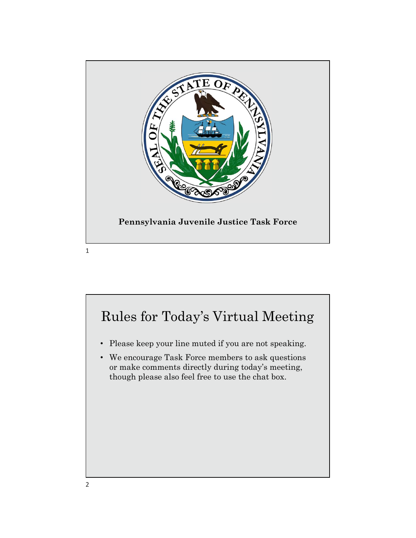

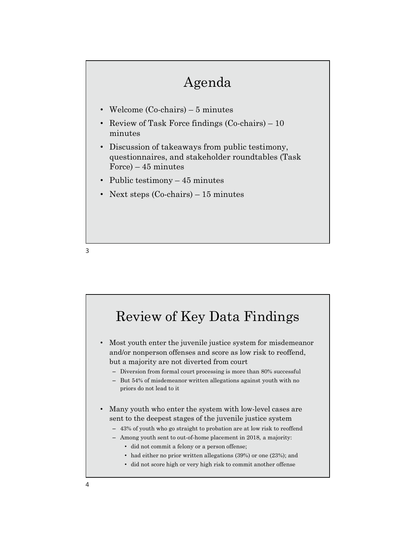### Agenda

- 
- Agenda<br>• Welcome (Co-chairs) 5 minutes<br>• Review of Task Force findings (Co-chairs) 10<br>• Discussion of takeaways from public testimony, minutes
- Agenda<br>• Welcome (Co-chairs) 5 minutes<br>• Review of Task Force findings (Co-chairs) 10<br>• Discussion of takeaways from public testimony,<br>questionnaires, and stakeholder roundtables (Task<br>mestionnaires, and stakeholder ro • Discussion of takeaways from public testimony, questionnaires, and stakeholder roundtables (Task Agenda<br>
Welcome (Co-chairs) – 5 minutes<br>
Review of Task Force findings (Co-chairs) – 10<br>
minutes<br>
Discussion of takeaways from public testimony,<br>
questionnaires, and stakeholder roundtables (Task<br>
Force) – 45 minutes<br>
Next Agenda<br>• Welcome (Co-chairs) – 5 minutes<br>• Review of Task Force findings (Co-chairs) – 10<br>minutes<br>• Discussion of takeaways from public testimony,<br>questionnaires, and stakeholder roundtables (Task<br>Force) – 45 minutes<br>• Pub  $\begin{array}{l} \qquad \qquad \textbf{Agenda} \qquad \qquad \\ \bullet \quad \textbf{Welcome (Co-chairs) = 5 minutes} \qquad \qquad \\ \bullet \quad \textbf{Review of Task Force findings (Co-chairs) = 10 minutes} \qquad \textbf{0} \quad \textbf{inintuses} \qquad \textbf{Inisclusion of takeaways from public testimony, questionnaires, and stakeholders (Task Force) = 45 minutes} \qquad \qquad \textbf{Proce} = 45 minutes \qquad \qquad \textbf{Next steps (Co-chairs) = 15 minutes} \qquad \textbf{Next steps (Co-chairs) = 15 minutes} \qquad \textbf{Next steps (Co-chairs) = 15 minutes} \qquad \textbf{Next$
- 
- 



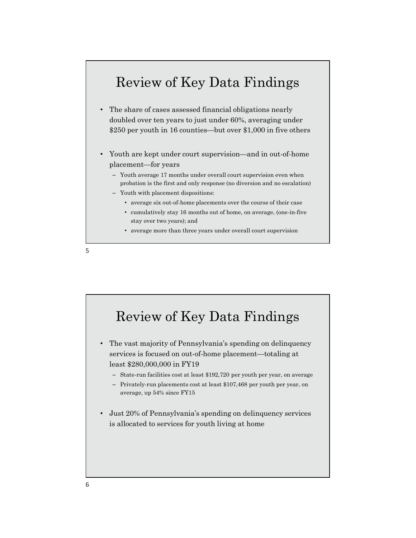#### Review of Key Data Findings

- The share of cases assessed financial obligations nearly doubled over ten years to just under 60%, averaging under \$250 per youth in 16 counties—but over \$1,000 in five others
- Youth are kept under court supervision—and in out-of-home placement—for years
	- Youth average 17 months under overall court supervision even when probation is the first and only response (no diversion and no escalation)
	- Youth with placement dispositions:
		- average six out-of-home placements over the course of their case
		- cumulatively stay 16 months out of home, on average, (one-in-five stay over two years); and
		- average more than three years under overall court supervision



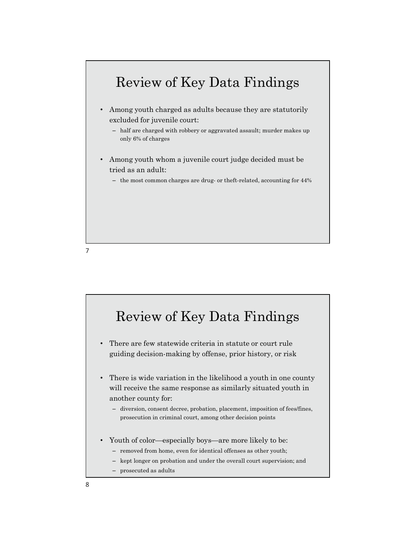

7

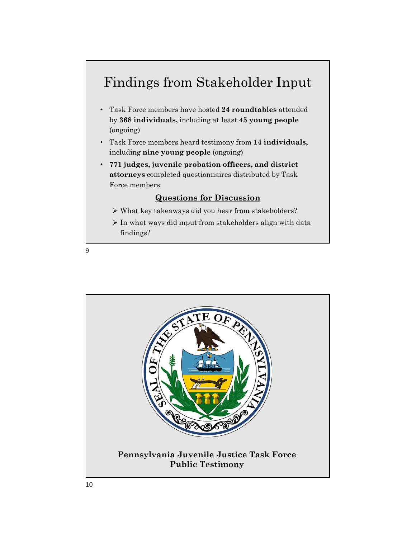## Findings from Stakeholder Input

- Task Force members have hosted 24 roundtables attended Findings from Stakeholder Input<br>Task Force members have hosted 24 roundtables attended<br>by 368 individuals, including at least 45 young people<br>(ongoing)<br>Task Force members heard testimony from 14 individuals,<br>including nine (ongoing) Findings from Stakeholder Input<br>• Task Force members have hosted 24 roundtables attended<br>by 368 individuals, including at least 45 young people<br>(ongoing)<br>• Task Force members heard testimony from 14 individuals,<br>including
- including nine young people (ongoing)
- 771 judges, juvenile probation officers, and district attorneys completed questionnaires distributed by Task Force members

#### Questions for Discussion

- What key takeaways did you hear from stakeholders?
- $\triangleright$  In what ways did input from stakeholders align with data findings?

9